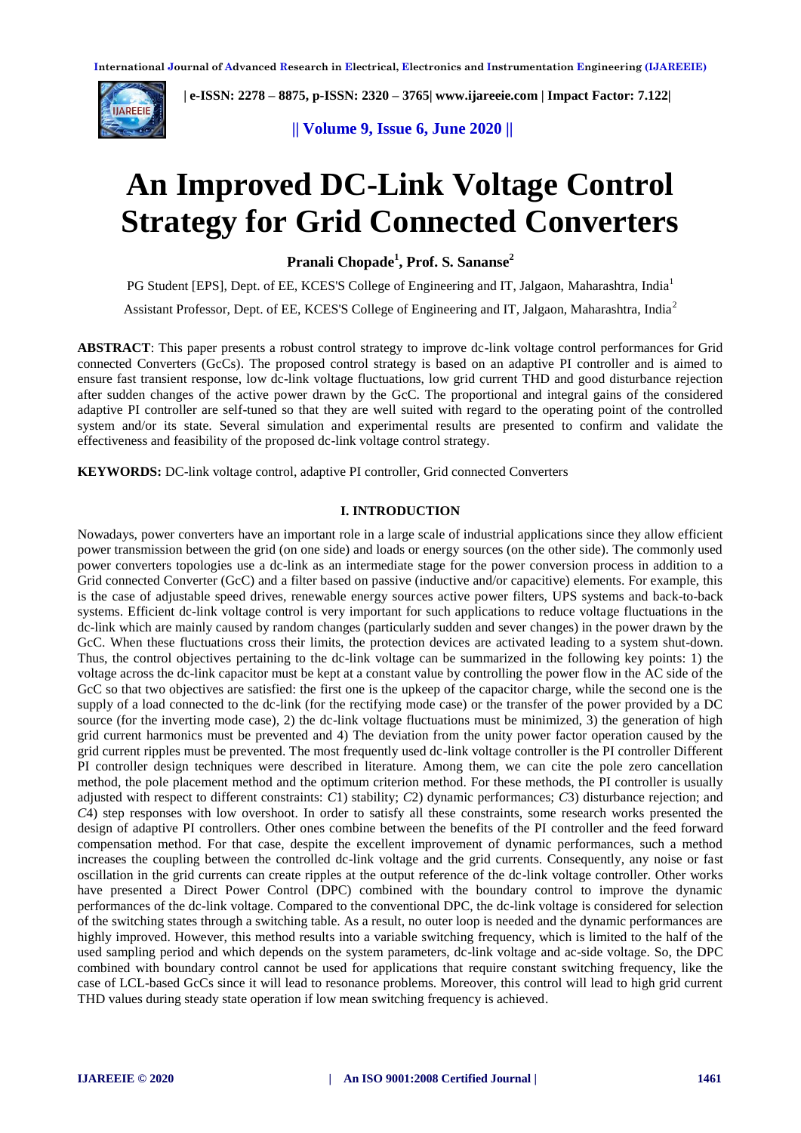

 **| e-ISSN: 2278 – 8875, p-ISSN: 2320 – 3765[| www.ijareeie.com](http://www.ijareeie.com/) | Impact Factor: 7.122|** 

**|| Volume 9, Issue 6, June 2020 ||** 

# **An Improved DC-Link Voltage Control Strategy for Grid Connected Converters**

**Pranali Chopade<sup>1</sup> , Prof. S. Sananse<sup>2</sup>**

PG Student [EPS], Dept. of EE, KCES'S College of Engineering and IT, Jalgaon, Maharashtra, India<sup>1</sup> Assistant Professor, Dept. of EE, KCES'S College of Engineering and IT, Jalgaon, Maharashtra, India<sup>2</sup>

**ABSTRACT**: This paper presents a robust control strategy to improve dc-link voltage control performances for Grid connected Converters (GcCs). The proposed control strategy is based on an adaptive PI controller and is aimed to ensure fast transient response, low dc-link voltage fluctuations, low grid current THD and good disturbance rejection after sudden changes of the active power drawn by the GcC. The proportional and integral gains of the considered adaptive PI controller are self-tuned so that they are well suited with regard to the operating point of the controlled system and/or its state. Several simulation and experimental results are presented to confirm and validate the effectiveness and feasibility of the proposed dc-link voltage control strategy.

**KEYWORDS:** DC-link voltage control, adaptive PI controller, Grid connected Converters

## **I. INTRODUCTION**

Nowadays, power converters have an important role in a large scale of industrial applications since they allow efficient power transmission between the grid (on one side) and loads or energy sources (on the other side). The commonly used power converters topologies use a dc-link as an intermediate stage for the power conversion process in addition to a Grid connected Converter (GcC) and a filter based on passive (inductive and/or capacitive) elements. For example, this is the case of adjustable speed drives, renewable energy sources active power filters, UPS systems and back-to-back systems. Efficient dc-link voltage control is very important for such applications to reduce voltage fluctuations in the dc-link which are mainly caused by random changes (particularly sudden and sever changes) in the power drawn by the GcC. When these fluctuations cross their limits, the protection devices are activated leading to a system shut-down. Thus, the control objectives pertaining to the dc-link voltage can be summarized in the following key points: 1) the voltage across the dc-link capacitor must be kept at a constant value by controlling the power flow in the AC side of the GcC so that two objectives are satisfied: the first one is the upkeep of the capacitor charge, while the second one is the supply of a load connected to the dc-link (for the rectifying mode case) or the transfer of the power provided by a DC source (for the inverting mode case), 2) the dc-link voltage fluctuations must be minimized, 3) the generation of high grid current harmonics must be prevented and 4) The deviation from the unity power factor operation caused by the grid current ripples must be prevented. The most frequently used dc-link voltage controller is the PI controller Different PI controller design techniques were described in literature. Among them, we can cite the pole zero cancellation method, the pole placement method and the optimum criterion method. For these methods, the PI controller is usually adjusted with respect to different constraints: *C*1) stability; *C*2) dynamic performances; *C*3) disturbance rejection; and *C*4) step responses with low overshoot. In order to satisfy all these constraints, some research works presented the design of adaptive PI controllers. Other ones combine between the benefits of the PI controller and the feed forward compensation method. For that case, despite the excellent improvement of dynamic performances, such a method increases the coupling between the controlled dc-link voltage and the grid currents. Consequently, any noise or fast oscillation in the grid currents can create ripples at the output reference of the dc-link voltage controller. Other works have presented a Direct Power Control (DPC) combined with the boundary control to improve the dynamic performances of the dc-link voltage. Compared to the conventional DPC, the dc-link voltage is considered for selection of the switching states through a switching table. As a result, no outer loop is needed and the dynamic performances are highly improved. However, this method results into a variable switching frequency, which is limited to the half of the used sampling period and which depends on the system parameters, dc-link voltage and ac-side voltage. So, the DPC combined with boundary control cannot be used for applications that require constant switching frequency, like the case of LCL-based GcCs since it will lead to resonance problems. Moreover, this control will lead to high grid current THD values during steady state operation if low mean switching frequency is achieved.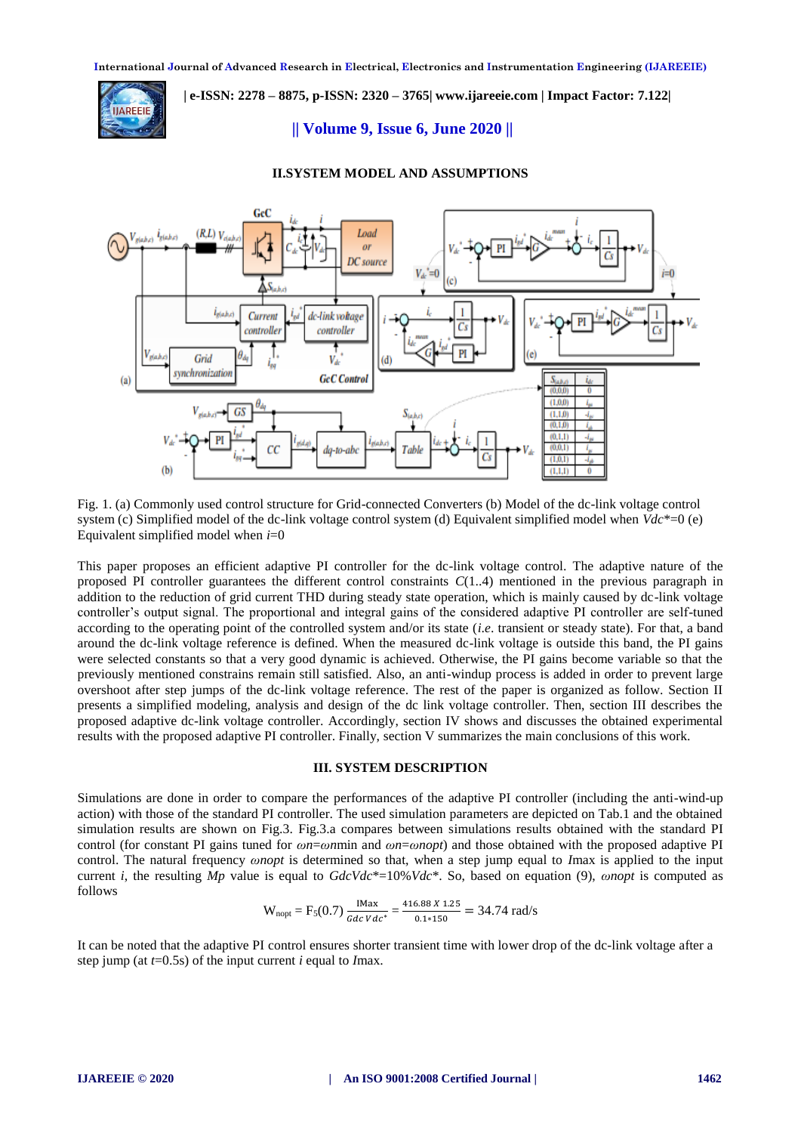

# **| e-ISSN: 2278 – 8875, p-ISSN: 2320 – 3765[| www.ijareeie.com](http://www.ijareeie.com/) | Impact Factor: 7.122|**

### **|| Volume 9, Issue 6, June 2020 ||**



#### **II.SYSTEM MODEL AND ASSUMPTIONS**

Fig. 1. (a) Commonly used control structure for Grid-connected Converters (b) Model of the dc-link voltage control system (c) Simplified model of the dc-link voltage control system (d) Equivalent simplified model when *Vdc*\*=0 (e) Equivalent simplified model when *i*=0

This paper proposes an efficient adaptive PI controller for the dc-link voltage control. The adaptive nature of the proposed PI controller guarantees the different control constraints *C*(1..4) mentioned in the previous paragraph in addition to the reduction of grid current THD during steady state operation, which is mainly caused by dc-link voltage controller's output signal. The proportional and integral gains of the considered adaptive PI controller are self-tuned according to the operating point of the controlled system and/or its state (*i*.*e*. transient or steady state). For that, a band around the dc-link voltage reference is defined. When the measured dc-link voltage is outside this band, the PI gains were selected constants so that a very good dynamic is achieved. Otherwise, the PI gains become variable so that the previously mentioned constrains remain still satisfied. Also, an anti-windup process is added in order to prevent large overshoot after step jumps of the dc-link voltage reference. The rest of the paper is organized as follow. Section II presents a simplified modeling, analysis and design of the dc link voltage controller. Then, section III describes the proposed adaptive dc-link voltage controller. Accordingly, section IV shows and discusses the obtained experimental results with the proposed adaptive PI controller. Finally, section V summarizes the main conclusions of this work.

#### **III. SYSTEM DESCRIPTION**

Simulations are done in order to compare the performances of the adaptive PI controller (including the anti-wind-up action) with those of the standard PI controller. The used simulation parameters are depicted on Tab.1 and the obtained simulation results are shown on Fig.3. Fig.3.a compares between simulations results obtained with the standard PI control (for constant PI gains tuned for *ωn*=*ωn*min and *ωn*=*ωnopt*) and those obtained with the proposed adaptive PI control. The natural frequency *ωnopt* is determined so that, when a step jump equal to *I*max is applied to the input current *i*, the resulting *Mp* value is equal to *GdcVdc*\*=10%*Vdc*\*. So, based on equation (9), *ωnopt* is computed as follows

$$
W_{\text{nopt}} = F_5(0.7) \frac{\text{IMax}}{Gdc \, Vdc^*} = \frac{416.88 \, X \, 1.25}{0.1 \times 150} = 34.74 \, \text{rad/s}
$$

It can be noted that the adaptive PI control ensures shorter transient time with lower drop of the dc-link voltage after a step jump (at *t*=0.5s) of the input current *i* equal to *I*max.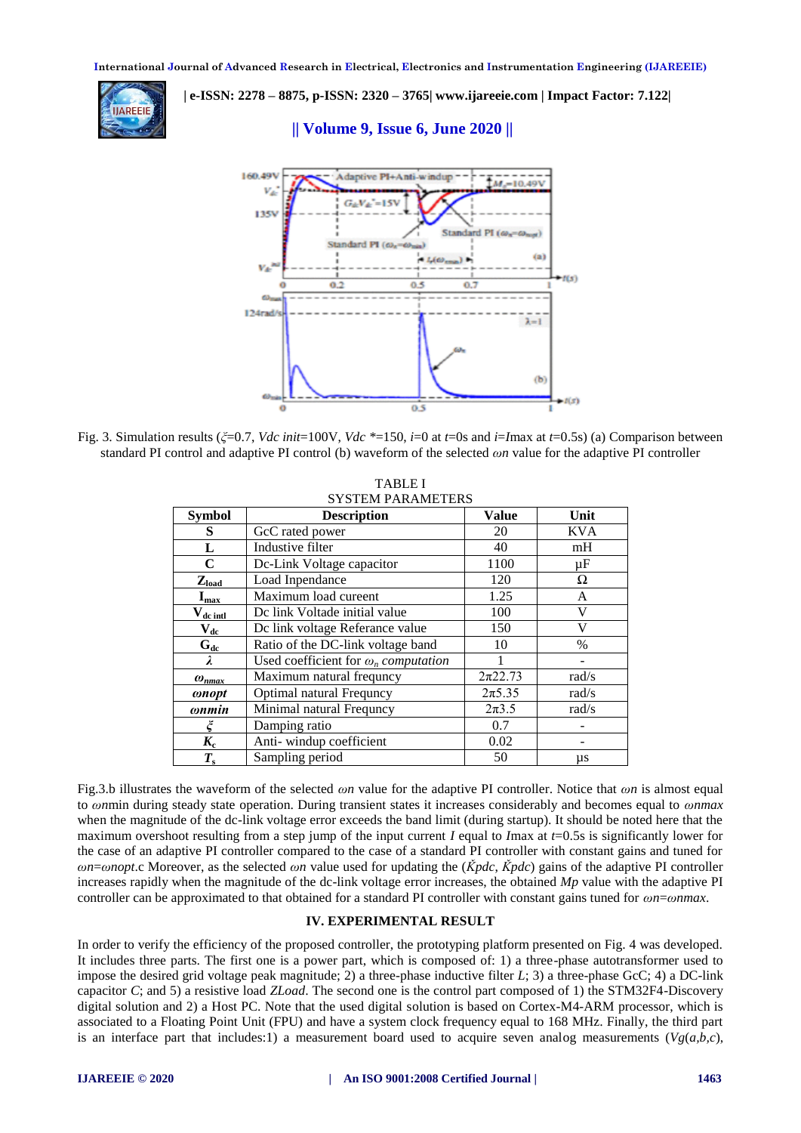

 **| e-ISSN: 2278 – 8875, p-ISSN: 2320 – 3765[| www.ijareeie.com](http://www.ijareeie.com/) | Impact Factor: 7.122|** 

## **|| Volume 9, Issue 6, June 2020 ||**



Fig. 3. Simulation results (*ξ*=0.7, *Vdc init*=100V, *Vdc \**=150, *i*=0 at *t*=0s and *i*=*I*max at *t*=0.5s) (a) Comparison between standard PI control and adaptive PI control (b) waveform of the selected *ωn* value for the adaptive PI controller

TABLE I

| <b>SYSTEM PARAMETERS</b>   |                                             |              |               |
|----------------------------|---------------------------------------------|--------------|---------------|
| <b>Symbol</b>              | <b>Description</b>                          | Value        | Unit          |
| S                          | GcC rated power                             | 20           | <b>KVA</b>    |
| L                          | Industive filter                            | 40           | mH            |
| $\mathbf C$                | Dc-Link Voltage capacitor                   | 1100         | $\mu$ F       |
| $Z_{\text{load}}$          | Load Inpendance                             | 120          | Ω             |
| $I_{\text{max}}$           | Maximum load cureent                        | 1.25         | A             |
| $V_{dc\;intl}$             | De link Voltade initial value               | 100          | V             |
| $\mathbf{V}_{\mathbf{dc}}$ | Dc link voltage Referance value             | 150          | V             |
| $G_{dc}$                   | Ratio of the DC-link voltage band           | 10           | $\frac{0}{0}$ |
| $\lambda$                  | Used coefficient for $\omega_n$ computation |              |               |
| $\omega_{nmax}$            | Maximum natural frequncy                    | $2\pi 22.73$ | rad/s         |
| <i>conopt</i>              | <b>Optimal natural Frequncy</b>             | $2\pi 5.35$  | rad/s         |
| $onmin$                    | Minimal natural Frequncy                    | $2\pi 3.5$   | rad/s         |
| ζ                          | Damping ratio                               | 0.7          |               |
| $K_{c}$                    | Anti-windup coefficient                     | 0.02         |               |
| $T_{\rm s}$                | Sampling period                             | 50           | μs            |

Fig.3.b illustrates the waveform of the selected *ωn* value for the adaptive PI controller. Notice that *ωn* is almost equal to *ωn*min during steady state operation. During transient states it increases considerably and becomes equal to *ωnmax*  when the magnitude of the dc-link voltage error exceeds the band limit (during startup). It should be noted here that the maximum overshoot resulting from a step jump of the input current *I* equal to *I*max at *t*=0.5s is significantly lower for the case of an adaptive PI controller compared to the case of a standard PI controller with constant gains and tuned for *ωn*=*ωnopt*.c Moreover, as the selected *ωn* value used for updating the (*Ǩpdc*, *Ǩpdc*) gains of the adaptive PI controller increases rapidly when the magnitude of the dc-link voltage error increases, the obtained *Mp* value with the adaptive PI controller can be approximated to that obtained for a standard PI controller with constant gains tuned for *ωn*=*ωnmax*.

## **IV. EXPERIMENTAL RESULT**

In order to verify the efficiency of the proposed controller, the prototyping platform presented on Fig. 4 was developed. It includes three parts. The first one is a power part, which is composed of: 1) a three-phase autotransformer used to impose the desired grid voltage peak magnitude; 2) a three-phase inductive filter *L*; 3) a three-phase GcC; 4) a DC-link capacitor *C*; and 5) a resistive load *ZLoad*. The second one is the control part composed of 1) the STM32F4-Discovery digital solution and 2) a Host PC. Note that the used digital solution is based on Cortex-M4-ARM processor, which is associated to a Floating Point Unit (FPU) and have a system clock frequency equal to 168 MHz. Finally, the third part is an interface part that includes:1) a measurement board used to acquire seven analog measurements  $(Vg(a,b,c))$ ,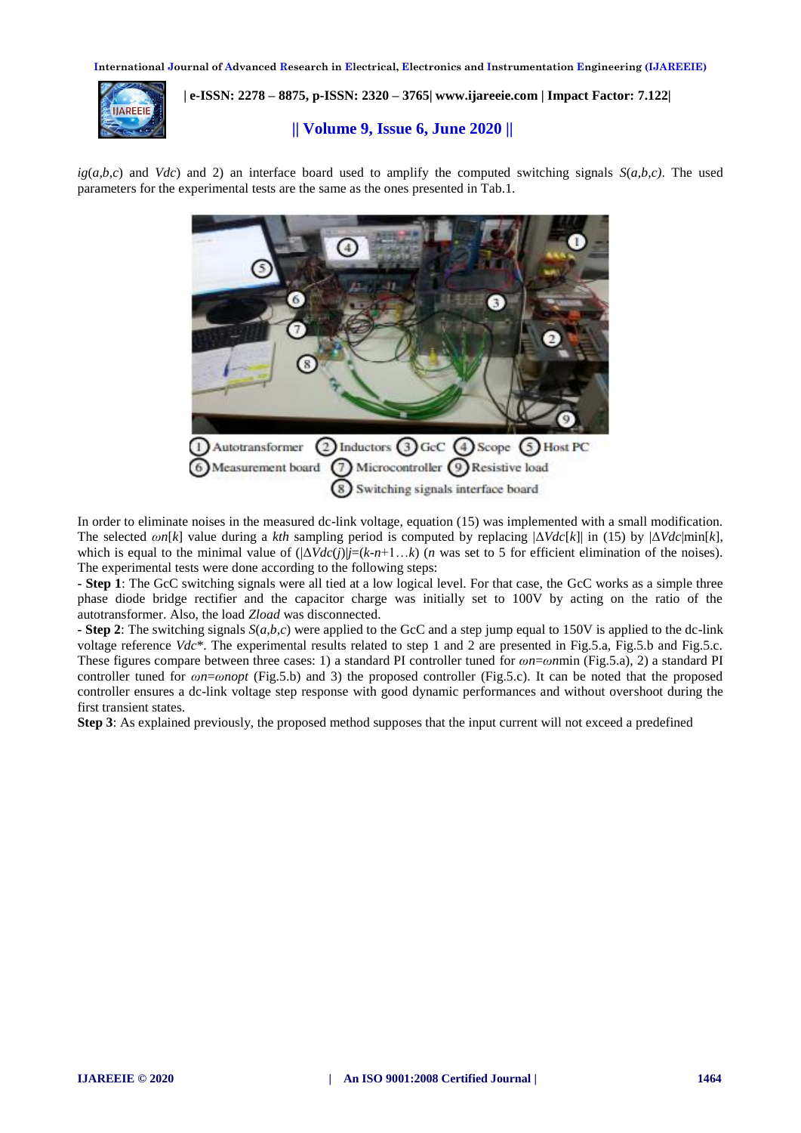**International Journal of Advanced Research in Electrical, Electronics and Instrumentation Engineering (IJAREEIE)** 



 **| e-ISSN: 2278 – 8875, p-ISSN: 2320 – 3765[| www.ijareeie.com](http://www.ijareeie.com/) | Impact Factor: 7.122|** 

# **|| Volume 9, Issue 6, June 2020 ||**

 $i\frac{g}{a,b,c}$  and *Vdc*) and 2) an interface board used to amplify the computed switching signals  $S(a,b,c)$ . The used parameters for the experimental tests are the same as the ones presented in Tab.1.



In order to eliminate noises in the measured dc-link voltage, equation (15) was implemented with a small modification. The selected *ωn*[*k*] value during a *kth* sampling period is computed by replacing |Δ*Vdc*[*k*]| in (15) by |Δ*Vdc*|min[*k*], which is equal to the minimal value of  $(|\Delta \text{Vdc}(i)| = (k - n + 1...k)$  (*n* was set to 5 for efficient elimination of the noises). The experimental tests were done according to the following steps:

**- Step 1**: The GcC switching signals were all tied at a low logical level. For that case, the GcC works as a simple three phase diode bridge rectifier and the capacitor charge was initially set to 100V by acting on the ratio of the autotransformer. Also, the load *Zload* was disconnected.

**- Step 2**: The switching signals *S*(*a,b,c*) were applied to the GcC and a step jump equal to 150V is applied to the dc-link voltage reference *Vdc*\*. The experimental results related to step 1 and 2 are presented in Fig.5.a, Fig.5.b and Fig.5.c. These figures compare between three cases: 1) a standard PI controller tuned for *ωn*=*ωn*min (Fig.5.a), 2) a standard PI controller tuned for *ωn*=*ωnopt* (Fig.5.b) and 3) the proposed controller (Fig.5.c). It can be noted that the proposed controller ensures a dc-link voltage step response with good dynamic performances and without overshoot during the first transient states.

**Step 3**: As explained previously, the proposed method supposes that the input current will not exceed a predefined